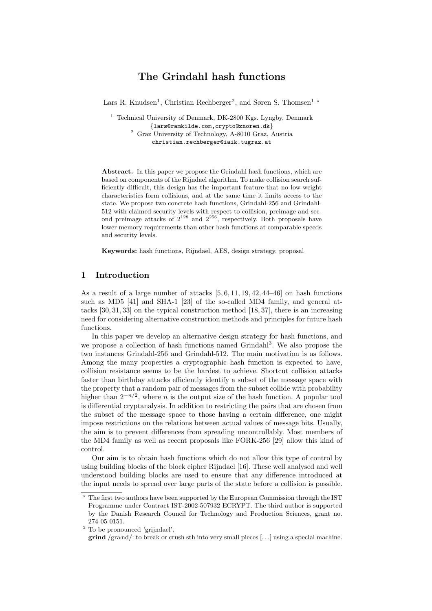# The Grindahl hash functions

Lars R. Knudsen<sup>1</sup>, Christian Rechberger<sup>2</sup>, and Søren S. Thomsen<sup>1</sup><sup>\*</sup>

<sup>1</sup> Technical University of Denmark, DK-2800 Kgs. Lyngby, Denmark {lars@ramkilde.com,crypto@znoren.dk} <sup>2</sup> Graz University of Technology, A-8010 Graz, Austria christian.rechberger@iaik.tugraz.at

Abstract. In this paper we propose the Grindahl hash functions, which are based on components of the Rijndael algorithm. To make collision search sufficiently difficult, this design has the important feature that no low-weight characteristics form collisions, and at the same time it limits access to the state. We propose two concrete hash functions, Grindahl-256 and Grindahl-512 with claimed security levels with respect to collision, preimage and second preimage attacks of  $2^{128}$  and  $2^{256}$ , respectively. Both proposals have lower memory requirements than other hash functions at comparable speeds and security levels.

Keywords: hash functions, Rijndael, AES, design strategy, proposal

# 1 Introduction

As a result of a large number of attacks [5, 6, 11, 19, 42, 44–46] on hash functions such as MD5 [41] and SHA-1 [23] of the so-called MD4 family, and general attacks [30, 31, 33] on the typical construction method [18, 37], there is an increasing need for considering alternative construction methods and principles for future hash functions.

In this paper we develop an alternative design strategy for hash functions, and we propose a collection of hash functions named Grindahl<sup>3</sup>. We also propose the two instances Grindahl-256 and Grindahl-512. The main motivation is as follows. Among the many properties a cryptographic hash function is expected to have, collision resistance seems to be the hardest to achieve. Shortcut collision attacks faster than birthday attacks efficiently identify a subset of the message space with the property that a random pair of messages from the subset collide with probability higher than  $2^{-n/2}$ , where *n* is the output size of the hash function. A popular tool is differential cryptanalysis. In addition to restricting the pairs that are chosen from the subset of the message space to those having a certain difference, one might impose restrictions on the relations between actual values of message bits. Usually, the aim is to prevent differences from spreading uncontrollably. Most members of the MD4 family as well as recent proposals like FORK-256 [29] allow this kind of control.

Our aim is to obtain hash functions which do not allow this type of control by using building blocks of the block cipher Rijndael [16]. These well analysed and well understood building blocks are used to ensure that any difference introduced at the input needs to spread over large parts of the state before a collision is possible.

<sup>?</sup> The first two authors have been supported by the European Commission through the IST Programme under Contract IST-2002-507932 ECRYPT. The third author is supported by the Danish Research Council for Technology and Production Sciences, grant no. 274-05-0151.

<sup>3</sup> To be pronounced 'grijndael'.

**grind** /grand/: to break or crush sth into very small pieces [ $\ldots$ ] using a special machine.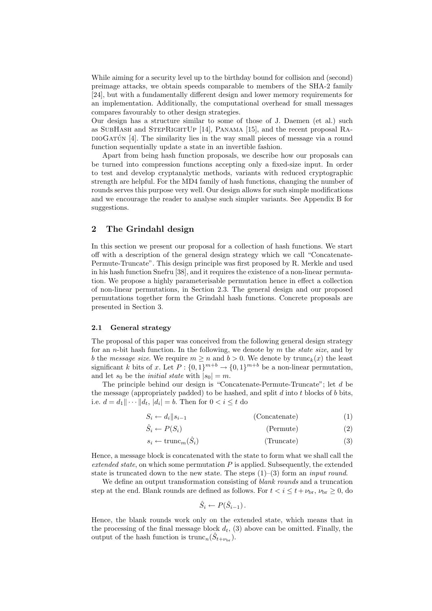While aiming for a security level up to the birthday bound for collision and (second) preimage attacks, we obtain speeds comparable to members of the SHA-2 family [24], but with a fundamentally different design and lower memory requirements for an implementation. Additionally, the computational overhead for small messages compares favourably to other design strategies.

Our design has a structure similar to some of those of J. Daemen (et al.) such as SubHash and StepRightUp [14], Panama [15], and the recent proposal Ra- $DIOGATÚN [4]$ . The similarity lies in the way small pieces of message via a round function sequentially update a state in an invertible fashion.

Apart from being hash function proposals, we describe how our proposals can be turned into compression functions accepting only a fixed-size input. In order to test and develop cryptanalytic methods, variants with reduced cryptographic strength are helpful. For the MD4 family of hash functions, changing the number of rounds serves this purpose very well. Our design allows for such simple modifications and we encourage the reader to analyse such simpler variants. See Appendix B for suggestions.

# 2 The Grindahl design

In this section we present our proposal for a collection of hash functions. We start off with a description of the general design strategy which we call "Concatenate-Permute-Truncate". This design principle was first proposed by R. Merkle and used in his hash function Snefru [38], and it requires the existence of a non-linear permutation. We propose a highly parameterisable permutation hence in effect a collection of non-linear permutations, in Section 2.3. The general design and our proposed permutations together form the Grindahl hash functions. Concrete proposals are presented in Section 3.

#### 2.1 General strategy

The proposal of this paper was conceived from the following general design strategy for an *n*-bit hash function. In the following, we denote by  $m$  the *state size*, and by b the message size. We require  $m \geq n$  and  $b > 0$ . We denote by trunc<sub>k</sub> $(x)$  the least significant k bits of x. Let  $P: \{0,1\}^{m+b} \to \{0,1\}^{m+b}$  be a non-linear permutation, and let  $s_0$  be the *initial state* with  $|s_0| = m$ .

The principle behind our design is "Concatenate-Permute-Truncate"; let d be the message (appropriately padded) to be hashed, and split  $d$  into  $t$  blocks of  $b$  bits, i.e.  $d = d_1 || \cdots || d_t$ ,  $|d_i| = b$ . Then for  $0 < i \leq t$  do

 $S_i \leftarrow d_i || s_{i-1}$  (Concatenate) (1)

$$
\hat{S}_i \leftarrow P(S_i) \tag{2}
$$

$$
s_i \leftarrow \text{trunc}_m(\hat{S}_i) \tag{3}
$$

Hence, a message block is concatenated with the state to form what we shall call the extended state, on which some permutation  $P$  is applied. Subsequently, the extended state is truncated down to the new state. The steps  $(1)$ – $(3)$  form an *input round*.

We define an output transformation consisting of *blank rounds* and a truncation step at the end. Blank rounds are defined as follows. For  $t < i \leq t + \nu_{\text{br}}, \nu_{\text{br}} \geq 0$ , do

$$
\hat{S}_i \leftarrow P(\hat{S}_{i-1}).
$$

Hence, the blank rounds work only on the extended state, which means that in the processing of the final message block  $d_t$ , (3) above can be omitted. Finally, the output of the hash function is  $\text{trunc}_n(\hat{S}_{t+\nu_{\text{br}}})$ .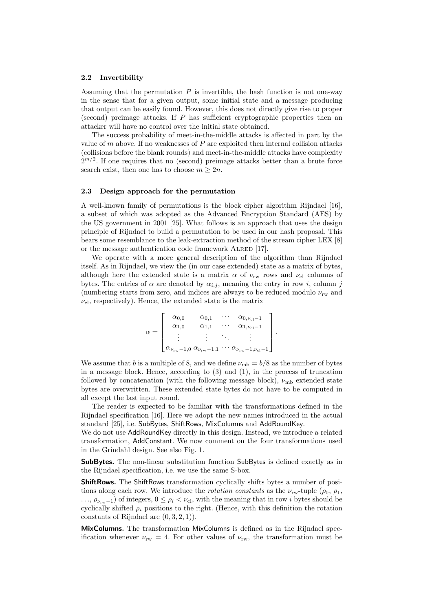### 2.2 Invertibility

Assuming that the permutation  $P$  is invertible, the hash function is not one-way in the sense that for a given output, some initial state and a message producing that output can be easily found. However, this does not directly give rise to proper (second) preimage attacks. If  $P$  has sufficient cryptographic properties then an attacker will have no control over the initial state obtained.

The success probability of meet-in-the-middle attacks is affected in part by the value of  $m$  above. If no weaknesses of  $P$  are exploited then internal collision attacks (collisions before the blank rounds) and meet-in-the-middle attacks have complexity  $2^{m/2}$ . If one requires that no (second) preimage attacks better than a brute force search exist, then one has to choose  $m \geq 2n$ .

#### 2.3 Design approach for the permutation

A well-known family of permutations is the block cipher algorithm Rijndael [16], a subset of which was adopted as the Advanced Encryption Standard (AES) by the US government in 2001 [25]. What follows is an approach that uses the design principle of Rijndael to build a permutation to be used in our hash proposal. This bears some resemblance to the leak-extraction method of the stream cipher LEX [8] or the message authentication code framework ALRED [17].

We operate with a more general description of the algorithm than Rijndael itself. As in Rijndael, we view the (in our case extended) state as a matrix of bytes, although here the extended state is a matrix  $\alpha$  of  $\nu_{rw}$  rows and  $\nu_{cl}$  columns of bytes. The entries of  $\alpha$  are denoted by  $\alpha_{i,j}$ , meaning the entry in row i, column j (numbering starts from zero, and indices are always to be reduced modulo  $\nu_{rw}$  and  $\nu_{\rm cl}$ , respectively). Hence, the extended state is the matrix

$$
\alpha = \begin{bmatrix} \alpha_{0,0} & \alpha_{0,1} & \cdots & \alpha_{0,\nu_{c1}-1} \\ \alpha_{1,0} & \alpha_{1,1} & \cdots & \alpha_{1,\nu_{c1}-1} \\ \vdots & \vdots & \ddots & \vdots \\ \alpha_{\nu_{rw}-1,0} & \alpha_{\nu_{rw}-1,1} & \cdots & \alpha_{\nu_{rw}-1,\nu_{c1}-1} \end{bmatrix}.
$$

We assume that b is a multiple of 8, and we define  $\nu_{\rm mb} = b/8$  as the number of bytes in a message block. Hence, according to (3) and (1), in the process of truncation followed by concatenation (with the following message block),  $\nu_{\rm mb}$  extended state bytes are overwritten. These extended state bytes do not have to be computed in all except the last input round.

The reader is expected to be familiar with the transformations defined in the Rijndael specification [16]. Here we adopt the new names introduced in the actual standard [25], i.e. SubBytes, ShiftRows, MixColumns and AddRoundKey.

We do not use AddRoundKey directly in this design. Instead, we introduce a related transformation, AddConstant. We now comment on the four transformations used in the Grindahl design. See also Fig. 1.

SubBytes. The non-linear substitution function SubBytes is defined exactly as in the Rijndael specification, i.e. we use the same S-box.

ShiftRows. The ShiftRows transformation cyclically shifts bytes a number of positions along each row. We introduce the *rotation constants* as the  $\nu_{rw}$ -tuple ( $\rho_0$ ,  $\rho_1$ ,  $\ldots, \rho_{\nu_{\text{rw}}-1}$  of integers,  $0 \leq \rho_i < \nu_{\text{cl}}$ , with the meaning that in row *i* bytes should be cyclically shifted  $\rho_i$  positions to the right. (Hence, with this definition the rotation constants of Rijndael are  $(0, 3, 2, 1)$ .

MixColumns. The transformation MixColumns is defined as in the Rijndael specification whenever  $\nu_{rw} = 4$ . For other values of  $\nu_{rw}$ , the transformation must be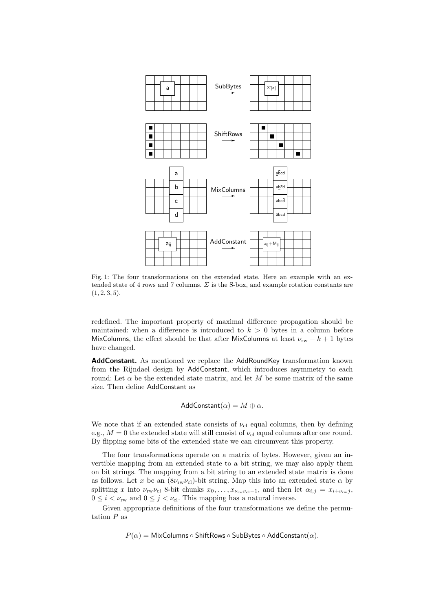

Fig. 1: The four transformations on the extended state. Here an example with an extended state of 4 rows and 7 columns.  $\Sigma$  is the S-box, and example rotation constants are  $(1, 2, 3, 5).$ 

redefined. The important property of maximal difference propagation should be maintained: when a difference is introduced to  $k > 0$  bytes in a column before MixColumns, the effect should be that after MixColumns at least  $\nu_{rw} - k + 1$  bytes have changed.

AddConstant. As mentioned we replace the AddRoundKey transformation known from the Rijndael design by AddConstant, which introduces asymmetry to each round: Let  $\alpha$  be the extended state matrix, and let M be some matrix of the same size. Then define AddConstant as

$$
\mathsf{AddConstant}(\alpha) = M \oplus \alpha.
$$

We note that if an extended state consists of  $\nu_{\rm cl}$  equal columns, then by defining e.g.,  $M = 0$  the extended state will still consist of  $\nu_{\rm cl}$  equal columns after one round. By flipping some bits of the extended state we can circumvent this property.

The four transformations operate on a matrix of bytes. However, given an invertible mapping from an extended state to a bit string, we may also apply them on bit strings. The mapping from a bit string to an extended state matrix is done as follows. Let x be an  $(8\nu_{rw}\nu_{cl})$ -bit string. Map this into an extended state  $\alpha$  by splitting x into  $\nu_{rw}\nu_{cl}$  8-bit chunks  $x_0, \ldots, x_{\nu_{rw}\nu_{cl}-1}$ , and then let  $\alpha_{i,j} = x_{i+\nu_{rw}j}$ ,  $0 \leq i < \nu_{\text{rw}}$  and  $0 \leq j < \nu_{\text{cl}}$ . This mapping has a natural inverse.

Given appropriate definitions of the four transformations we define the permutation  $P$  as

$$
P(\alpha)
$$
 = MixColumns  $\circ$  ShiftRows  $\circ$  SubBytes  $\circ$  AddConstant( $\alpha$ ).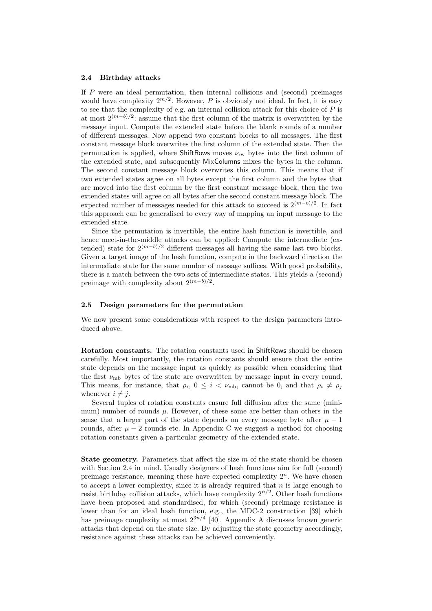#### 2.4 Birthday attacks

If  $P$  were an ideal permutation, then internal collisions and (second) preimages would have complexity  $2^{m/2}$ . However, P is obviously not ideal. In fact, it is easy to see that the complexity of e.g. an internal collision attack for this choice of  $P$  is at most  $2^{(m-b)/2}$ : assume that the first column of the matrix is overwritten by the message input. Compute the extended state before the blank rounds of a number of different messages. Now append two constant blocks to all messages. The first constant message block overwrites the first column of the extended state. Then the permutation is applied, where ShiftRows moves  $\nu_{rw}$  bytes into the first column of the extended state, and subsequently MixColumns mixes the bytes in the column. The second constant message block overwrites this column. This means that if two extended states agree on all bytes except the first column and the bytes that are moved into the first column by the first constant message block, then the two extended states will agree on all bytes after the second constant message block. The expected number of messages needed for this attack to succeed is  $2^{(m-b)/2}$ . In fact this approach can be generalised to every way of mapping an input message to the extended state.

Since the permutation is invertible, the entire hash function is invertible, and hence meet-in-the-middle attacks can be applied: Compute the intermediate (extended) state for  $2^{(m-b)/2}$  different messages all having the same last two blocks. Given a target image of the hash function, compute in the backward direction the intermediate state for the same number of message suffices. With good probability, there is a match between the two sets of intermediate states. This yields a (second) preimage with complexity about  $2^{(m-b)/2}$ .

#### 2.5 Design parameters for the permutation

We now present some considerations with respect to the design parameters introduced above.

Rotation constants. The rotation constants used in ShiftRows should be chosen carefully. Most importantly, the rotation constants should ensure that the entire state depends on the message input as quickly as possible when considering that the first  $\nu_{\text{mb}}$  bytes of the state are overwritten by message input in every round. This means, for instance, that  $\rho_i$ ,  $0 \leq i < \nu_{\text{mb}}$ , cannot be 0, and that  $\rho_i \neq \rho_j$ whenever  $i \neq j$ .

Several tuples of rotation constants ensure full diffusion after the same (minimum) number of rounds  $\mu$ . However, of these some are better than others in the sense that a larger part of the state depends on every message byte after  $\mu - 1$ rounds, after  $\mu - 2$  rounds etc. In Appendix C we suggest a method for choosing rotation constants given a particular geometry of the extended state.

**State geometry.** Parameters that affect the size  $m$  of the state should be chosen with Section 2.4 in mind. Usually designers of hash functions aim for full (second) preimage resistance, meaning these have expected complexity  $2<sup>n</sup>$ . We have chosen to accept a lower complexity, since it is already required that  $n$  is large enough to resist birthday collision attacks, which have complexity  $2^{n/2}$ . Other hash functions have been proposed and standardised, for which (second) preimage resistance is lower than for an ideal hash function, e.g., the MDC-2 construction [39] which has preimage complexity at most  $2^{3n/4}$  [40]. Appendix A discusses known generic attacks that depend on the state size. By adjusting the state geometry accordingly, resistance against these attacks can be achieved conveniently.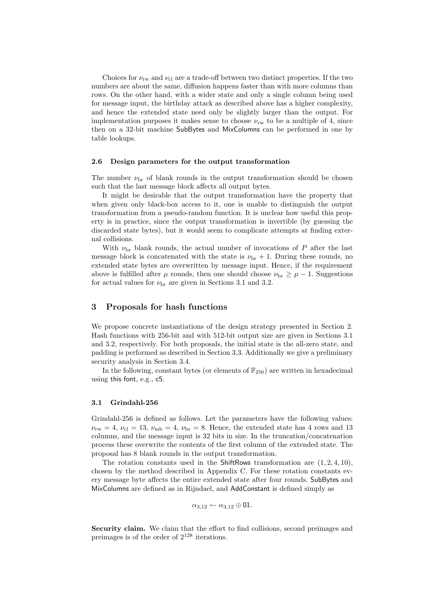Choices for  $\nu_{rw}$  and  $\nu_{cl}$  are a trade-off between two distinct properties. If the two numbers are about the same, diffusion happens faster than with more columns than rows. On the other hand, with a wider state and only a single column being used for message input, the birthday attack as described above has a higher complexity, and hence the extended state need only be slightly larger than the output. For implementation purposes it makes sense to choose  $\nu_{rw}$  to be a multiple of 4, since then on a 32-bit machine SubBytes and MixColumns can be performed in one by table lookups.

### 2.6 Design parameters for the output transformation

The number  $\nu_{\text{br}}$  of blank rounds in the output transformation should be chosen such that the last message block affects all output bytes.

It might be desirable that the output transformation have the property that when given only black-box access to it, one is unable to distinguish the output transformation from a pseudo-random function. It is unclear how useful this property is in practice, since the output transformation is invertible (by guessing the discarded state bytes), but it would seem to complicate attempts at finding external collisions.

With  $\nu_{\rm br}$  blank rounds, the actual number of invocations of P after the last message block is concatenated with the state is  $\nu_{\rm br} + 1$ . During these rounds, no extended state bytes are overwritten by message input. Hence, if the requirement above is fulfilled after  $\mu$  rounds, then one should choose  $\nu_{\rm br} \geq \mu - 1$ . Suggestions for actual values for  $\nu_{\rm br}$  are given in Sections 3.1 and 3.2.

# 3 Proposals for hash functions

We propose concrete instantiations of the design strategy presented in Section 2. Hash functions with 256-bit and with 512-bit output size are given in Sections 3.1 and 3.2, respectively. For both proposals, the initial state is the all-zero state, and padding is performed as described in Section 3.3. Additionally we give a preliminary security analysis in Section 3.4.

In the following, constant bytes (or elements of  $\mathbb{F}_{256}$ ) are written in hexadecimal using this font, e.g., c5.

# 3.1 Grindahl-256

Grindahl-256 is defined as follows. Let the parameters have the following values:  $\nu_{\text{rw}} = 4$ ,  $\nu_{\text{cl}} = 13$ ,  $\nu_{\text{mb}} = 4$ ,  $\nu_{\text{br}} = 8$ . Hence, the extended state has 4 rows and 13 columns, and the message input is 32 bits in size. In the truncation/concatenation process these overwrite the contents of the first column of the extended state. The proposal has 8 blank rounds in the output transformation.

The rotation constants used in the ShiftRows transformation are  $(1, 2, 4, 10)$ , chosen by the method described in Appendix C. For these rotation constants every message byte affects the entire extended state after four rounds. SubBytes and MixColumns are defined as in Rijndael, and AddConstant is defined simply as

$$
\alpha_{3,12}\leftarrow \alpha_{3,12}\oplus 01.
$$

Security claim. We claim that the effort to find collisions, second preimages and preimages is of the order of 2<sup>128</sup> iterations.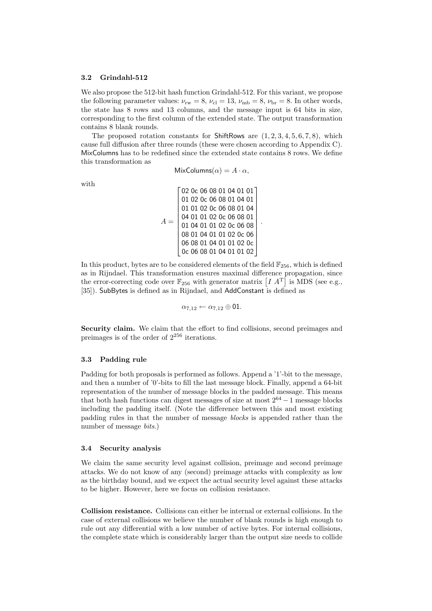### 3.2 Grindahl-512

We also propose the 512-bit hash function Grindahl-512. For this variant, we propose the following parameter values:  $\nu_{rw} = 8$ ,  $\nu_{cl} = 13$ ,  $\nu_{mb} = 8$ ,  $\nu_{br} = 8$ . In other words, the state has 8 rows and 13 columns, and the message input is 64 bits in size, corresponding to the first column of the extended state. The output transformation contains 8 blank rounds.

The proposed rotation constants for ShiftRows are  $(1, 2, 3, 4, 5, 6, 7, 8)$ , which cause full diffusion after three rounds (these were chosen according to Appendix C). MixColumns has to be redefined since the extended state contains 8 rows. We define this transformation as

 $MixColumns(\alpha) = A \cdot \alpha$ ,

with

$$
A = \begin{bmatrix} 02 & 0c & 06 & 08 & 01 & 04 & 01 & 01 \\ 01 & 02 & 0c & 06 & 08 & 01 & 04 & 01 \\ 01 & 01 & 02 & 0c & 06 & 08 & 01 & 04 \\ 04 & 01 & 01 & 02 & 0c & 06 & 08 & 01 \\ 01 & 04 & 01 & 01 & 02 & 0c & 06 & 08 \\ 08 & 01 & 04 & 01 & 01 & 02 & 0c & 06 \\ 06 & 08 & 01 & 04 & 01 & 01 & 02 & 0c \\ 0c & 06 & 08 & 01 & 04 & 01 & 01 & 02 \end{bmatrix}
$$

.

In this product, bytes are to be considered elements of the field  $\mathbb{F}_{256}$ , which is defined as in Rijndael. This transformation ensures maximal difference propagation, since as in Kijndael. This transformation ensures maximal difference propagation, since<br>the error-correcting code over  $\mathbb{F}_{256}$  with generator matrix  $[I \, A^T]$  is MDS (see e.g., [35]). SubBytes is defined as in Rijndael, and AddConstant is defined as

$$
\alpha_{7,12} \leftarrow \alpha_{7,12} \oplus 01.
$$

Security claim. We claim that the effort to find collisions, second preimages and preimages is of the order of 2<sup>256</sup> iterations.

### 3.3 Padding rule

Padding for both proposals is performed as follows. Append a '1'-bit to the message, and then a number of '0'-bits to fill the last message block. Finally, append a 64-bit representation of the number of message blocks in the padded message. This means that both hash functions can digest messages of size at most  $2^{64} - 1$  message blocks including the padding itself. (Note the difference between this and most existing padding rules in that the number of message blocks is appended rather than the number of message bits.)

#### 3.4 Security analysis

We claim the same security level against collision, preimage and second preimage attacks. We do not know of any (second) preimage attacks with complexity as low as the birthday bound, and we expect the actual security level against these attacks to be higher. However, here we focus on collision resistance.

Collision resistance. Collisions can either be internal or external collisions. In the case of external collisions we believe the number of blank rounds is high enough to rule out any differential with a low number of active bytes. For internal collisions, the complete state which is considerably larger than the output size needs to collide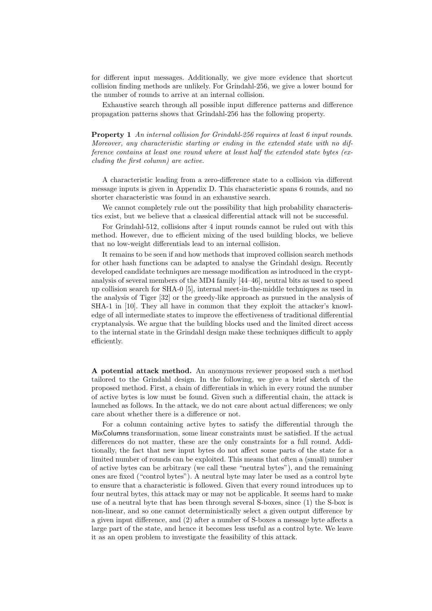for different input messages. Additionally, we give more evidence that shortcut collision finding methods are unlikely. For Grindahl-256, we give a lower bound for the number of rounds to arrive at an internal collision.

Exhaustive search through all possible input difference patterns and difference propagation patterns shows that Grindahl-256 has the following property.

Property 1 An internal collision for Grindahl-256 requires at least 6 input rounds. Moreover, any characteristic starting or ending in the extended state with no difference contains at least one round where at least half the extended state bytes (excluding the first column) are active.

A characteristic leading from a zero-difference state to a collision via different message inputs is given in Appendix D. This characteristic spans 6 rounds, and no shorter characteristic was found in an exhaustive search.

We cannot completely rule out the possibility that high probability characteristics exist, but we believe that a classical differential attack will not be successful.

For Grindahl-512, collisions after 4 input rounds cannot be ruled out with this method. However, due to efficient mixing of the used building blocks, we believe that no low-weight differentials lead to an internal collision.

It remains to be seen if and how methods that improved collision search methods for other hash functions can be adapted to analyse the Grindahl design. Recently developed candidate techniques are message modification as introduced in the cryptanalysis of several members of the MD4 family [44–46], neutral bits as used to speed up collision search for SHA-0 [5], internal meet-in-the-middle techniques as used in the analysis of Tiger [32] or the greedy-like approach as pursued in the analysis of SHA-1 in [10]. They all have in common that they exploit the attacker's knowledge of all intermediate states to improve the effectiveness of traditional differential cryptanalysis. We argue that the building blocks used and the limited direct access to the internal state in the Grindahl design make these techniques difficult to apply efficiently.

A potential attack method. An anonymous reviewer proposed such a method tailored to the Grindahl design. In the following, we give a brief sketch of the proposed method. First, a chain of differentials in which in every round the number of active bytes is low must be found. Given such a differential chain, the attack is launched as follows. In the attack, we do not care about actual differences; we only care about whether there is a difference or not.

For a column containing active bytes to satisfy the differential through the MixColumns transformation, some linear constraints must be satisfied. If the actual differences do not matter, these are the only constraints for a full round. Additionally, the fact that new input bytes do not affect some parts of the state for a limited number of rounds can be exploited. This means that often a (small) number of active bytes can be arbitrary (we call these "neutral bytes"), and the remaining ones are fixed ("control bytes"). A neutral byte may later be used as a control byte to ensure that a characteristic is followed. Given that every round introduces up to four neutral bytes, this attack may or may not be applicable. It seems hard to make use of a neutral byte that has been through several S-boxes, since (1) the S-box is non-linear, and so one cannot deterministically select a given output difference by a given input difference, and (2) after a number of S-boxes a message byte affects a large part of the state, and hence it becomes less useful as a control byte. We leave it as an open problem to investigate the feasibility of this attack.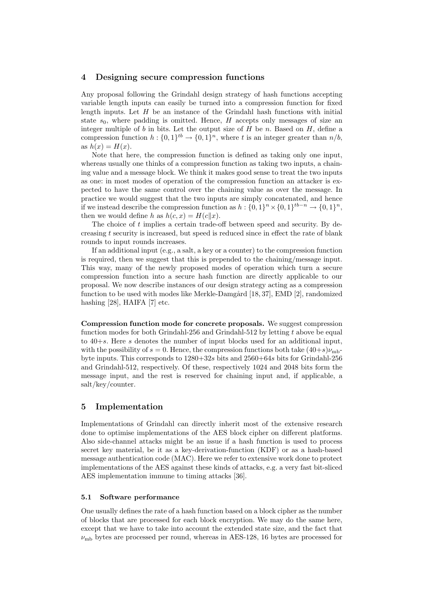# 4 Designing secure compression functions

Any proposal following the Grindahl design strategy of hash functions accepting variable length inputs can easily be turned into a compression function for fixed length inputs. Let  $H$  be an instance of the Grindahl hash functions with initial state  $s_0$ , where padding is omitted. Hence,  $H$  accepts only messages of size an integer multiple of  $b$  in bits. Let the output size of  $H$  be n. Based on  $H$ , define a compression function  $h: \{0,1\}^{tb} \to \{0,1\}^n$ , where t is an integer greater than  $n/b$ , as  $h(x) = H(x)$ .

Note that here, the compression function is defined as taking only one input, whereas usually one thinks of a compression function as taking two inputs, a chaining value and a message block. We think it makes good sense to treat the two inputs as one: in most modes of operation of the compression function an attacker is expected to have the same control over the chaining value as over the message. In practice we would suggest that the two inputs are simply concatenated, and hence if we instead describe the compression function as  $h: \{0,1\}^n \times \{0,1\}^{tb-n} \to \{0,1\}^n$ , then we would define h as  $h(c, x) = H(c||x)$ .

The choice of t implies a certain trade-off between speed and security. By decreasing  $t$  security is increased, but speed is reduced since in effect the rate of blank rounds to input rounds increases.

If an additional input (e.g., a salt, a key or a counter) to the compression function is required, then we suggest that this is prepended to the chaining/message input. This way, many of the newly proposed modes of operation which turn a secure compression function into a secure hash function are directly applicable to our proposal. We now describe instances of our design strategy acting as a compression function to be used with modes like Merkle-Damgård  $[18, 37]$ , EMD  $[2]$ , randomized hashing [28], HAIFA [7] etc.

Compression function mode for concrete proposals. We suggest compression function modes for both Grindahl-256 and Grindahl-512 by letting t above be equal to  $40+s$ . Here s denotes the number of input blocks used for an additional input, with the possibility of  $s = 0$ . Hence, the compression functions both take  $(40+s)\nu_{\rm mb}$ byte inputs. This corresponds to 1280+32s bits and 2560+64s bits for Grindahl-256 and Grindahl-512, respectively. Of these, respectively 1024 and 2048 bits form the message input, and the rest is reserved for chaining input and, if applicable, a salt/key/counter.

# 5 Implementation

Implementations of Grindahl can directly inherit most of the extensive research done to optimise implementations of the AES block cipher on different platforms. Also side-channel attacks might be an issue if a hash function is used to process secret key material, be it as a key-derivation-function (KDF) or as a hash-based message authentication code (MAC). Here we refer to extensive work done to protect implementations of the AES against these kinds of attacks, e.g. a very fast bit-sliced AES implementation immune to timing attacks [36].

# 5.1 Software performance

One usually defines the rate of a hash function based on a block cipher as the number of blocks that are processed for each block encryption. We may do the same here, except that we have to take into account the extended state size, and the fact that  $\nu_{\rm mb}$  bytes are processed per round, whereas in AES-128, 16 bytes are processed for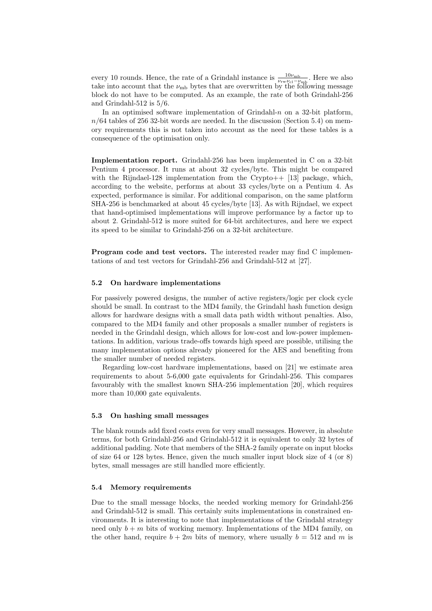every 10 rounds. Hence, the rate of a Grindahl instance is  $\frac{10\nu_{\text{mb}}}{\nu_{\text{rw}}\nu_{\text{cl}}-\nu_{\text{mb}}}$ . Here we also take into account that the  $\nu_{\text{mb}}$  bytes that are overwritten by the following message block do not have to be computed. As an example, the rate of both Grindahl-256 and Grindahl-512 is 5/6.

In an optimised software implementation of Grindahl- $n$  on a 32-bit platform,  $n/64$  tables of 256 32-bit words are needed. In the discussion (Section 5.4) on memory requirements this is not taken into account as the need for these tables is a consequence of the optimisation only.

Implementation report. Grindahl-256 has been implemented in C on a 32-bit Pentium 4 processor. It runs at about 32 cycles/byte. This might be compared with the Rijndael-128 implementation from the Crypto++ [13] package, which, according to the website, performs at about 33 cycles/byte on a Pentium 4. As expected, performance is similar. For additional comparison, on the same platform SHA-256 is benchmarked at about 45 cycles/byte [13]. As with Rijndael, we expect that hand-optimised implementations will improve performance by a factor up to about 2. Grindahl-512 is more suited for 64-bit architectures, and here we expect its speed to be similar to Grindahl-256 on a 32-bit architecture.

Program code and test vectors. The interested reader may find C implementations of and test vectors for Grindahl-256 and Grindahl-512 at [27].

# 5.2 On hardware implementations

For passively powered designs, the number of active registers/logic per clock cycle should be small. In contrast to the MD4 family, the Grindahl hash function design allows for hardware designs with a small data path width without penalties. Also, compared to the MD4 family and other proposals a smaller number of registers is needed in the Grindahl design, which allows for low-cost and low-power implementations. In addition, various trade-offs towards high speed are possible, utilising the many implementation options already pioneered for the AES and benefiting from the smaller number of needed registers.

Regarding low-cost hardware implementations, based on [21] we estimate area requirements to about 5-6,000 gate equivalents for Grindahl-256. This compares favourably with the smallest known SHA-256 implementation [20], which requires more than 10,000 gate equivalents.

### 5.3 On hashing small messages

The blank rounds add fixed costs even for very small messages. However, in absolute terms, for both Grindahl-256 and Grindahl-512 it is equivalent to only 32 bytes of additional padding. Note that members of the SHA-2 family operate on input blocks of size 64 or 128 bytes. Hence, given the much smaller input block size of 4 (or 8) bytes, small messages are still handled more efficiently.

# 5.4 Memory requirements

Due to the small message blocks, the needed working memory for Grindahl-256 and Grindahl-512 is small. This certainly suits implementations in constrained environments. It is interesting to note that implementations of the Grindahl strategy need only  $b + m$  bits of working memory. Implementations of the MD4 family, on the other hand, require  $b + 2m$  bits of memory, where usually  $b = 512$  and m is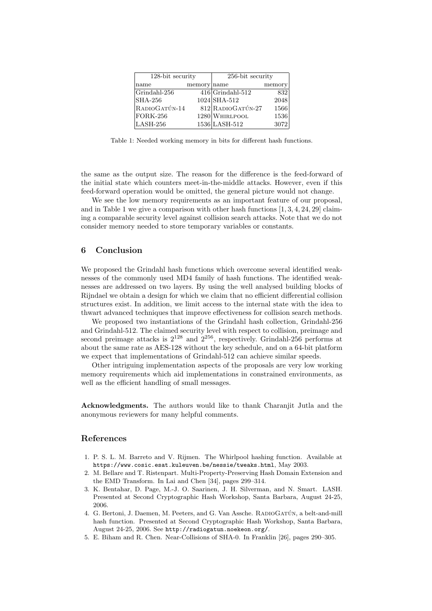| 128-bit security      |               | 256-bit security   |        |  |
|-----------------------|---------------|--------------------|--------|--|
| name                  | memory   name |                    | memory |  |
| Grindahl-256          |               | $416$ Grindahl-512 | 832    |  |
| <b>SHA-256</b>        |               | 1024 SHA-512       | 2048   |  |
| RADIOGATÚN-14         |               | 812 RADIOGATÚN-27  | 1566   |  |
| <b>FORK-256</b>       |               | 1280 WHIRLPOOL     | 1536   |  |
| $\rm LASH\text{-}256$ |               | 1536 LASH-512      | 3072   |  |

Table 1: Needed working memory in bits for different hash functions.

the same as the output size. The reason for the difference is the feed-forward of the initial state which counters meet-in-the-middle attacks. However, even if this feed-forward operation would be omitted, the general picture would not change.

We see the low memory requirements as an important feature of our proposal, and in Table 1 we give a comparison with other hash functions  $[1, 3, 4, 24, 29]$  claiming a comparable security level against collision search attacks. Note that we do not consider memory needed to store temporary variables or constants.

# 6 Conclusion

We proposed the Grindahl hash functions which overcome several identified weaknesses of the commonly used MD4 family of hash functions. The identified weaknesses are addressed on two layers. By using the well analysed building blocks of Rijndael we obtain a design for which we claim that no efficient differential collision structures exist. In addition, we limit access to the internal state with the idea to thwart advanced techniques that improve effectiveness for collision search methods.

We proposed two instantiations of the Grindahl hash collection, Grindahl-256 and Grindahl-512. The claimed security level with respect to collision, preimage and second preimage attacks is  $2^{128}$  and  $2^{256}$ , respectively. Grindahl-256 performs at about the same rate as AES-128 without the key schedule, and on a 64-bit platform we expect that implementations of Grindahl-512 can achieve similar speeds.

Other intriguing implementation aspects of the proposals are very low working memory requirements which aid implementations in constrained environments, as well as the efficient handling of small messages.

Acknowledgments. The authors would like to thank Charanjit Jutla and the anonymous reviewers for many helpful comments.

# References

- 1. P. S. L. M. Barreto and V. Rijmen. The Whirlpool hashing function. Available at https://www.cosic.esat.kuleuven.be/nessie/tweaks.html, May 2003.
- 2. M. Bellare and T. Ristenpart. Multi-Property-Preserving Hash Domain Extension and the EMD Transform. In Lai and Chen [34], pages 299–314.
- 3. K. Bentahar, D. Page, M.-J. O. Saarinen, J. H. Silverman, and N. Smart. LASH. Presented at Second Cryptographic Hash Workshop, Santa Barbara, August 24-25, 2006.
- 4. G. Bertoni, J. Daemen, M. Peeters, and G. Van Assche. RADIOGATUN, a belt-and-mill hash function. Presented at Second Cryptographic Hash Workshop, Santa Barbara, August 24-25, 2006. See http://radiogatun.noekeon.org/.
- 5. E. Biham and R. Chen. Near-Collisions of SHA-0. In Franklin [26], pages 290–305.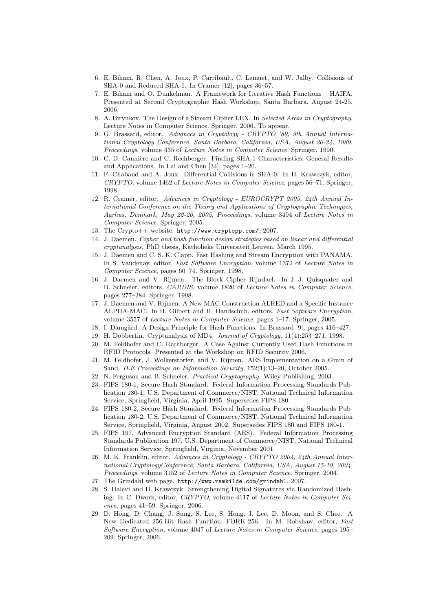- 6. E. Biham, R. Chen, A. Joux, P. Carribault, C. Lemuet, and W. Jalby. Collisions of SHA-0 and Reduced SHA-1. In Cramer [12], pages 36–57.
- 7. E. Biham and O. Dunkelman. A Framework for Iterative Hash Functions HAIFA. Presented at Second Cryptographic Hash Workshop, Santa Barbara, August 24-25, 2006.
- 8. A. Biryukov. The Design of a Stream Cipher LEX. In Selected Areas in Cryptography, Lecture Notes in Computer Science. Springer, 2006. To appear.
- 9. G. Brassard, editor. Advances in Cryptology CRYPTO '89, 9th Annual International Cryptology Conference, Santa Barbara, California, USA, August 20-24, 1989, Proceedings, volume 435 of Lecture Notes in Computer Science. Springer, 1990.
- 10. C. D. Cannière and C. Rechberger. Finding SHA-1 Characteristics: General Results and Applications. In Lai and Chen [34], pages 1–20.
- 11. F. Chabaud and A. Joux. Differential Collisions in SHA-0. In H. Krawczyk, editor, CRYPTO, volume 1462 of Lecture Notes in Computer Science, pages 56–71. Springer, 1998.
- 12. R. Cramer, editor. Advances in Cryptology EUROCRYPT 2005, 24th Annual International Conference on the Theory and Applications of Cryptographic Techniques, Aarhus, Denmark, May 22-26, 2005, Proceedings, volume 3494 of Lecture Notes in Computer Science. Springer, 2005.
- 13. The Crypto++ website. http://www.cryptopp.com/, 2007.
- 14. J. Daemen. Cipher and hash function design strategies based on linear and differential cryptanalysis. PhD thesis, Katholieke Universiteit Leuven, March 1995.
- 15. J. Daemen and C. S. K. Clapp. Fast Hashing and Stream Encryption with PANAMA. In S. Vaudenay, editor, Fast Software Encryption, volume 1372 of Lecture Notes in Computer Science, pages 60–74. Springer, 1998.
- 16. J. Daemen and V. Rijmen. The Block Cipher Rijndael. In J.-J. Quisquater and B. Schneier, editors, CARDIS, volume 1820 of Lecture Notes in Computer Science, pages 277–284. Springer, 1998.
- 17. J. Daemen and V. Rijmen. A New MAC Construction ALRED and a Specific Instance ALPHA-MAC. In H. Gilbert and H. Handschuh, editors, Fast Software Encryption, volume 3557 of Lecture Notes in Computer Science, pages 1–17. Springer, 2005.
- 18. I. Damgård. A Design Principle for Hash Functions. In Brassard [9], pages 416–427.
- 19. H. Dobbertin. Cryptanalysis of MD4. Journal of Cryptology, 11(4):253–271, 1998.
- 20. M. Feldhofer and C. Rechberger. A Case Against Currently Used Hash Functions in RFID Protocols. Presented at the Workshop on RFID Security 2006.
- 21. M. Feldhofer, J. Wolkerstorfer, and V. Rijmen. AES Implementation on a Grain of Sand. IEE Proceedings on Information Security, 152(1):13–20, October 2005.
- 22. N. Ferguson and B. Schneier. Practical Cryptography. Wiley Publishing, 2003.
- 23. FIPS 180-1, Secure Hash Standard. Federal Information Processing Standards Publication 180-1, U.S. Department of Commerce/NIST, National Technical Information Service, Springfield, Virginia, April 1995. Supersedes FIPS 180.
- 24. FIPS 180-2, Secure Hash Standard. Federal Information Processing Standards Publication 180-2, U.S. Department of Commerce/NIST, National Technical Information Service, Springfield, Virginia, August 2002. Supersedes FIPS 180 and FIPS 180-1.
- 25. FIPS 197, Advanced Encryption Standard (AES). Federal Information Processing Standards Publication 197, U.S. Department of Commerce/NIST, National Technical Information Service, Springfield, Virginia, November 2001.
- 26. M. K. Franklin, editor. Advances in Cryptology CRYPTO 2004, 24th Annual International CryptologyConference, Santa Barbara, California, USA, August 15-19, 2004, Proceedings, volume 3152 of Lecture Notes in Computer Science. Springer, 2004.
- 27. The Grindahl web page. http://www.ramkilde.com/grindahl, 2007.
- 28. S. Halevi and H. Krawczyk. Strengthening Digital Signatures via Randomized Hashing. In C. Dwork, editor, CRYPTO, volume 4117 of Lecture Notes in Computer Science, pages 41–59. Springer, 2006.
- 29. D. Hong, D. Chang, J. Sung, S. Lee, S. Hong, J. Lee, D. Moon, and S. Chee. A New Dedicated 256-Bit Hash Function: FORK-256. In M. Robshaw, editor, Fast Software Encryption, volume 4047 of Lecture Notes in Computer Science, pages 195– 209. Springer, 2006.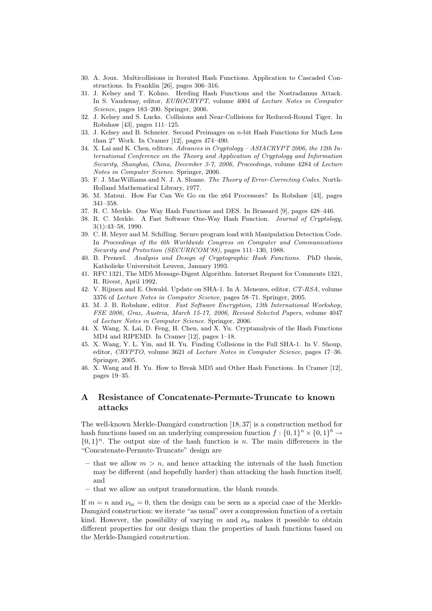- 30. A. Joux. Multicollisions in Iterated Hash Functions. Application to Cascaded Constructions. In Franklin [26], pages 306–316.
- 31. J. Kelsey and T. Kohno. Herding Hash Functions and the Nostradamus Attack. In S. Vaudenay, editor, EUROCRYPT, volume 4004 of Lecture Notes in Computer Science, pages 183–200. Springer, 2006.
- 32. J. Kelsey and S. Lucks. Collisions and Near-Collisions for Reduced-Round Tiger. In Robshaw [43], pages 111–125.
- 33. J. Kelsey and B. Schneier. Second Preimages on n-bit Hash Functions for Much Less than  $2^n$  Work. In Cramer [12], pages 474-490.
- 34. X. Lai and K. Chen, editors. Advances in Cryptology ASIACRYPT 2006, the 12th International Conference on the Theory and Application of Cryptology and Information Security, Shanghai, China, December 3-7, 2006, Proceedings, volume 4284 of Lecture Notes in Computer Science. Springer, 2006.
- 35. F. J. MacWilliams and N. J. A. Sloane. The Theory of Error-Correcting Codes. North-Holland Mathematical Library, 1977.
- 36. M. Matsui. How Far Can We Go on the x64 Processors? In Robshaw [43], pages 341–358.
- 37. R. C. Merkle. One Way Hash Functions and DES. In Brassard [9], pages 428–446.
- 38. R. C. Merkle. A Fast Software One-Way Hash Function. Journal of Cryptology, 3(1):43–58, 1990.
- 39. C. H. Meyer and M. Schilling. Secure program load with Manipulation Detection Code. In Proceedings of the 6th Worldwide Congress on Computer and Communications Security and Protection (SECURICOM'88), pages 111–130, 1988.
- 40. B. Preneel. Analysis and Design of Cryptographic Hash Functions. PhD thesis, Katholieke Universiteit Leuven, January 1993.
- 41. RFC 1321, The MD5 Message-Digest Algorithm. Internet Request for Comments 1321, R. Rivest, April 1992.
- 42. V. Rijmen and E. Oswald. Update on SHA-1. In A. Menezes, editor, CT-RSA, volume 3376 of Lecture Notes in Computer Science, pages 58–71. Springer, 2005.
- 43. M. J. B. Robshaw, editor. Fast Software Encryption, 13th International Workshop, FSE 2006, Graz, Austria, March 15-17, 2006, Revised Selected Papers, volume 4047 of Lecture Notes in Computer Science. Springer, 2006.
- 44. X. Wang, X. Lai, D. Feng, H. Chen, and X. Yu. Cryptanalysis of the Hash Functions MD4 and RIPEMD. In Cramer [12], pages 1–18.
- 45. X. Wang, Y. L. Yin, and H. Yu. Finding Collisions in the Full SHA-1. In V. Shoup, editor, CRYPTO, volume 3621 of Lecture Notes in Computer Science, pages 17–36. Springer, 2005.
- 46. X. Wang and H. Yu. How to Break MD5 and Other Hash Functions. In Cramer [12], pages 19–35.

# A Resistance of Concatenate-Permute-Truncate to known attacks

The well-known Merkle-Damgård construction  $[18, 37]$  is a construction method for hash functions based on an underlying compression function  $f: \{0,1\}^n \times \{0,1\}^b \rightarrow$  $\{0,1\}^n$ . The output size of the hash function is n. The main differences in the "Concatenate-Permute-Truncate" design are

- that we allow  $m > n$ , and hence attacking the internals of the hash function may be different (and hopefully harder) than attacking the hash function itself, and
- that we allow an output transformation, the blank rounds.

If  $m = n$  and  $\nu_{\text{br}} = 0$ , then the design can be seen as a special case of the Merkle-Damgård construction: we iterate "as usual" over a compression function of a certain kind. However, the possibility of varying m and  $\nu_{\rm br}$  makes it possible to obtain different properties for our design than the properties of hash functions based on the Merkle-Damgård construction.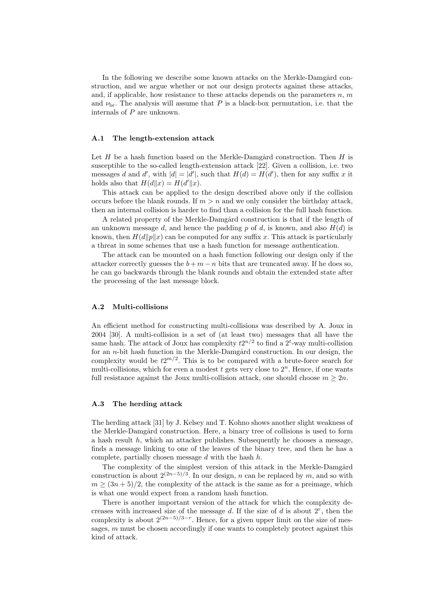In the following we describe some known attacks on the Merkle-Damgård construction, and we argue whether or not our design protects against these attacks, and, if applicable, how resistance to these attacks depends on the parameters  $n, m$ and  $\nu_{\text{br}}$ . The analysis will assume that P is a black-box permutation, i.e. that the internals of P are unknown.

#### A.1 The length-extension attack

Let  $H$  be a hash function based on the Merkle-Damgård construction. Then  $H$  is susceptible to the so-called length-extension attack [22]. Given a collision, i.e. two messages d and d', with  $|d| = |d'|$ , such that  $H(d) = H(d')$ , then for any suffix x it holds also that  $H(d||x) = H(d'||x)$ .

This attack can be applied to the design described above only if the collision occurs before the blank rounds. If  $m > n$  and we only consider the birthday attack, then an internal collision is harder to find than a collision for the full hash function.

A related property of the Merkle-Damgård construction is that if the length of an unknown message d, and hence the padding p of d, is known, and also  $H(d)$  is known, then  $H(d||p||x)$  can be computed for any suffix x. This attack is particularly a threat in some schemes that use a hash function for message authentication.

The attack can be mounted on a hash function following our design only if the attacker correctly guesses the  $b + m - n$  bits that are truncated away. If he does so, he can go backwards through the blank rounds and obtain the extended state after the processing of the last message block.

### A.2 Multi-collisions

An efficient method for constructing multi-collisions was described by A. Joux in 2004 [30]. A multi-collision is a set of (at least two) messages that all have the same hash. The attack of Joux has complexity  $t2^{n/2}$  to find a  $2^t$ -way multi-collision for an  $n$ -bit hash function in the Merkle-Damgård construction. In our design, the complexity would be  $t2^{m/2}$ . This is to be compared with a brute-force search for multi-collisions, which for even a modest  $t$  gets very close to  $2<sup>n</sup>$ . Hence, if one wants full resistance against the Joux multi-collision attack, one should choose  $m \geq 2n$ .

# A.3 The herding attack

The herding attack [31] by J. Kelsey and T. Kohno shows another slight weakness of the Merkle-Damgård construction. Here, a binary tree of collisions is used to form a hash result  $h$ , which an attacker publishes. Subsequently he chooses a message, finds a message linking to one of the leaves of the binary tree, and then he has a complete, partially chosen message  $d$  with the hash  $h$ .

The complexity of the simplest version of this attack in the Merkle-Damgård construction is about  $2^{(2n-5)/3}$ . In our design, n can be replaced by m, and so with  $m \geq (3n+5)/2$ , the complexity of the attack is the same as for a preimage, which is what one would expect from a random hash function.

There is another important version of the attack for which the complexity decreases with increased size of the message  $d$ . If the size of  $d$  is about  $2^r$ , then the complexity is about  $2^{(2n-5)/3-r}$ . Hence, for a given upper limit on the size of messages,  $m$  must be chosen accordingly if one wants to completely protect against this kind of attack.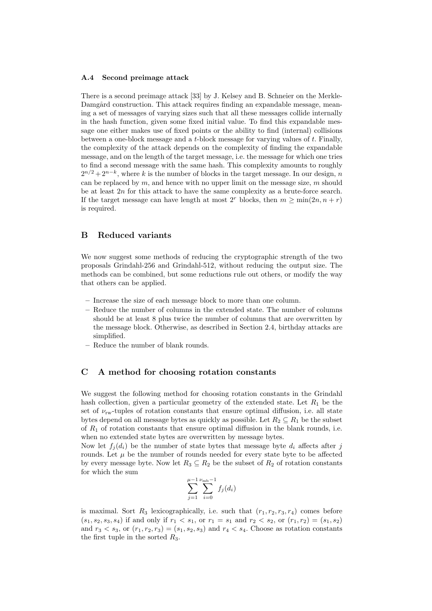#### A.4 Second preimage attack

There is a second preimage attack [33] by J. Kelsey and B. Schneier on the Merkle-Damgård construction. This attack requires finding an expandable message, meaning a set of messages of varying sizes such that all these messages collide internally in the hash function, given some fixed initial value. To find this expandable message one either makes use of fixed points or the ability to find (internal) collisions between a one-block message and a t-block message for varying values of t. Finally, the complexity of the attack depends on the complexity of finding the expandable message, and on the length of the target message, i.e. the message for which one tries to find a second message with the same hash. This complexity amounts to roughly  $2^{n/2} + 2^{n-k}$ , where k is the number of blocks in the target message. In our design, n can be replaced by  $m$ , and hence with no upper limit on the message size,  $m$  should be at least  $2n$  for this attack to have the same complexity as a brute-force search. If the target message can have length at most  $2^r$  blocks, then  $m \ge \min(2n, n + r)$ is required.

# B Reduced variants

We now suggest some methods of reducing the cryptographic strength of the two proposals Grindahl-256 and Grindahl-512, without reducing the output size. The methods can be combined, but some reductions rule out others, or modify the way that others can be applied.

- Increase the size of each message block to more than one column.
- Reduce the number of columns in the extended state. The number of columns should be at least 8 plus twice the number of columns that are overwritten by the message block. Otherwise, as described in Section 2.4, birthday attacks are simplified.
- Reduce the number of blank rounds.

# C A method for choosing rotation constants

We suggest the following method for choosing rotation constants in the Grindahl hash collection, given a particular geometry of the extended state. Let  $R_1$  be the set of  $\nu_{rw}$ -tuples of rotation constants that ensure optimal diffusion, i.e. all state bytes depend on all message bytes as quickly as possible. Let  $R_2 \subseteq R_1$  be the subset of  $R_1$  of rotation constants that ensure optimal diffusion in the blank rounds, i.e. when no extended state bytes are overwritten by message bytes.

Now let  $f_i(d_i)$  be the number of state bytes that message byte  $d_i$  affects after j rounds. Let  $\mu$  be the number of rounds needed for every state byte to be affected by every message byte. Now let  $R_3 \subseteq R_2$  be the subset of  $R_2$  of rotation constants for which the sum

$$
\sum_{j=1}^{\mu-1} \sum_{i=0}^{\nu_{\rm mb}-1} f_j(d_i)
$$

is maximal. Sort  $R_3$  lexicographically, i.e. such that  $(r_1, r_2, r_3, r_4)$  comes before  $(s_1, s_2, s_3, s_4)$  if and only if  $r_1 < s_1$ , or  $r_1 = s_1$  and  $r_2 < s_2$ , or  $(r_1, r_2) = (s_1, s_2)$ and  $r_3 < s_3$ , or  $(r_1, r_2, r_3) = (s_1, s_2, s_3)$  and  $r_4 < s_4$ . Choose as rotation constants the first tuple in the sorted  $R_3$ .